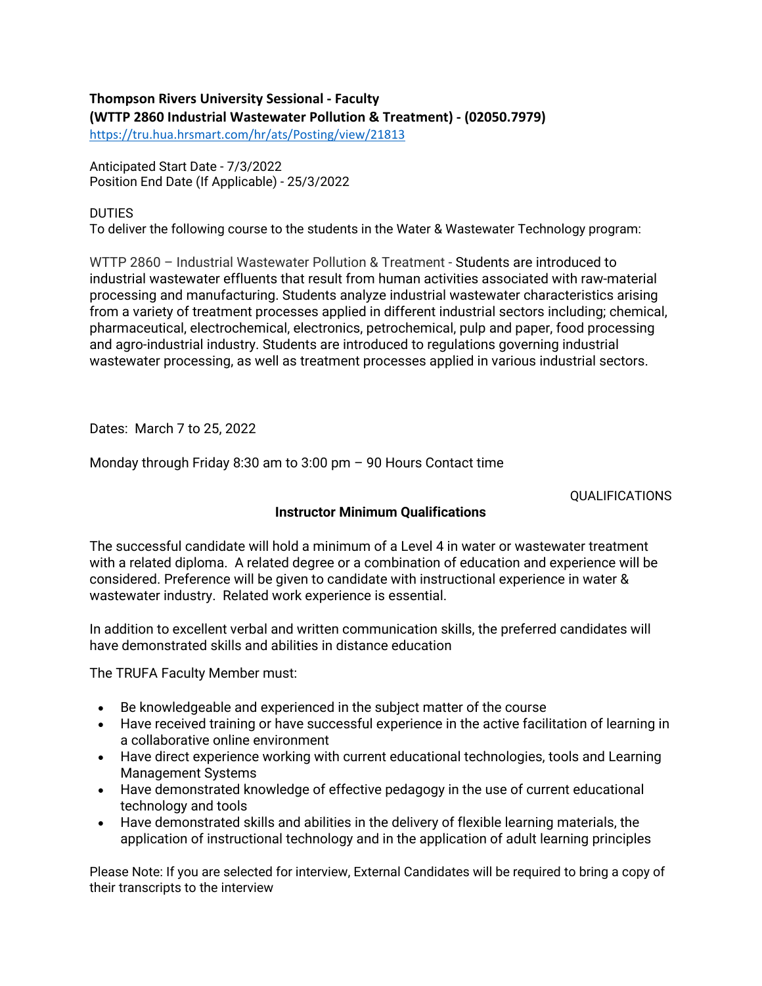## **Thompson Rivers University Sessional - Faculty (WTTP 2860 Industrial Wastewater Pollution & Treatment) - (02050.7979)**

<https://tru.hua.hrsmart.com/hr/ats/Posting/view/21813>

Anticipated Start Date - 7/3/2022 Position End Date (If Applicable) - 25/3/2022

## **DUTIES**

To deliver the following course to the students in the Water & Wastewater Technology program:

WTTP 2860 – Industrial Wastewater Pollution & Treatment - Students are introduced to industrial wastewater effluents that result from human activities associated with raw-material processing and manufacturing. Students analyze industrial wastewater characteristics arising from a variety of treatment processes applied in different industrial sectors including; chemical, pharmaceutical, electrochemical, electronics, petrochemical, pulp and paper, food processing and agro-industrial industry. Students are introduced to regulations governing industrial wastewater processing, as well as treatment processes applied in various industrial sectors.

Dates: March 7 to 25, 2022

Monday through Friday 8:30 am to 3:00 pm – 90 Hours Contact time

## QUALIFICATIONS

## **Instructor Minimum Qualifications**

The successful candidate will hold a minimum of a Level 4 in water or wastewater treatment with a related diploma. A related degree or a combination of education and experience will be considered. Preference will be given to candidate with instructional experience in water & wastewater industry. Related work experience is essential.

In addition to excellent verbal and written communication skills, the preferred candidates will have demonstrated skills and abilities in distance education

The TRUFA Faculty Member must:

- Be knowledgeable and experienced in the subject matter of the course
- Have received training or have successful experience in the active facilitation of learning in a collaborative online environment
- Have direct experience working with current educational technologies, tools and Learning Management Systems
- Have demonstrated knowledge of effective pedagogy in the use of current educational technology and tools
- Have demonstrated skills and abilities in the delivery of flexible learning materials, the application of instructional technology and in the application of adult learning principles

Please Note: If you are selected for interview, External Candidates will be required to bring a copy of their transcripts to the interview